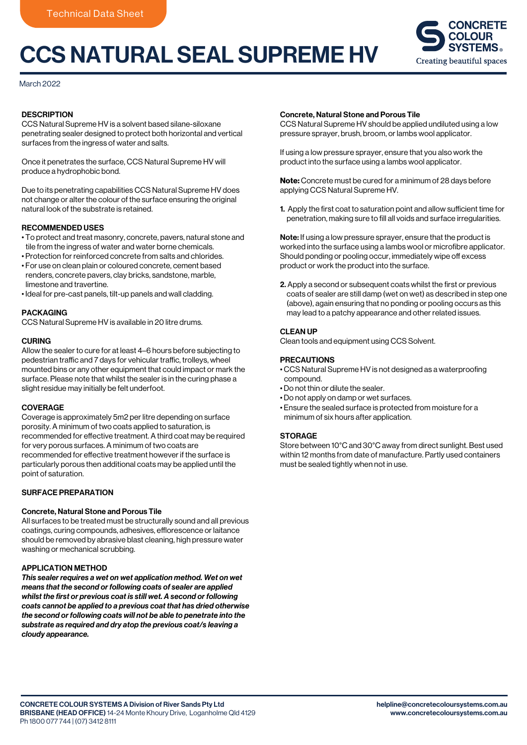# CCS NATURAL SEAL SUPREME HV



March 2022

### **DESCRIPTION**

CCS Natural Supreme HV is a solvent based silane-siloxane penetrating sealer designed to protect both horizontal and vertical surfaces from the ingress of water and salts.

Once it penetrates the surface, CCS Natural Supreme HV will produce a hydrophobic bond.

Due to its penetrating capabilities CCS Natural Supreme HV does not change or alter the colour of the surface ensuring the original natural look of the substrate is retained.

## RECOMMENDED USES

- To protect and treat masonry, concrete, pavers, natural stone and tile from the ingress of water and water borne chemicals.
- Protection for reinforced concrete from salts and chlorides.
- For use on clean plain or coloured concrete, cement based renders, concrete pavers, clay bricks, sandstone, marble, limestone and travertine.
- Ideal for pre-cast panels, tilt-up panels and wall cladding.

### PACKAGING

CCS Natural Supreme HV is available in 20 litre drums.

#### **CURING**

Allow the sealer to cure for at least 4–6 hours before subjecting to pedestrian traffic and 7 days for vehicular traffic, trolleys, wheel mounted bins or any other equipment that could impact or mark the surface. Please note that whilst the sealer is in the curing phase a slight residue may initially be felt underfoot.

#### COVERAGE

Coverage is approximately 5m2 per litre depending on surface porosity. A minimum of two coats applied to saturation, is recommended for effective treatment. A third coat may be required for very porous surfaces. A minimum of two coats are recommended for effective treatment however if the surface is particularly porous then additional coats may be applied until the point of saturation.

## SURFACE PREPARATION

### Concrete, Natural Stone and Porous Tile

All surfaces to be treated must be structurally sound and all previous coatings, curing compounds, adhesives, efflorescence or laitance should be removed by abrasive blast cleaning, high pressure water washing or mechanical scrubbing.

#### APPLICATION METHOD

*This sealer requires a wet on wet application method. Wet on wet means that the second or following coats of sealer are applied whilst the first or previous coat is still wet. A second or following coats cannot be applied to a previous coat that has dried otherwise the second or following coats will not be able to penetrate into the substrate as required and dry atop the previous coat/s leaving a cloudy appearance.*

#### Concrete, Natural Stone and Porous Tile

CCS Natural Supreme HV should be applied undiluted using a low pressure sprayer, brush, broom, or lambs wool applicator.

If using a low pressure sprayer, ensure that you also work the product into the surface using a lambs wool applicator.

Note: Concrete must be cured for a minimum of 28 days before applying CCS Natural Supreme HV.

1. Apply the first coat to saturation point and allow sufficient time for penetration, making sure to fill all voids and surface irregularities.

Note: If using a low pressure sprayer, ensure that the product is worked into the surface using a lambs wool or microfibre applicator. Should ponding or pooling occur, immediately wipe off excess product or work the product into the surface.

2. Apply a second or subsequent coats whilst the first or previous coats of sealer are still damp (wet on wet) as described in step one (above), again ensuring that no ponding or pooling occurs as this may lead to a patchy appearance and other related issues.

## CLEAN UP

Clean tools and equipment using CCS Solvent.

#### PRECAUTIONS

- CCS Natural Supreme HV is not designed as a waterproofing compound.
- Do not thin or dilute the sealer.
- Do not apply on damp or wet surfaces.
- Ensure the sealed surface is protected from moisture for a minimum of six hours after application.

#### **STORAGE**

Store between 10°C and 30°C away from direct sunlight. Best used within 12 months from date of manufacture. Partly used containers must be sealed tightly when not in use.